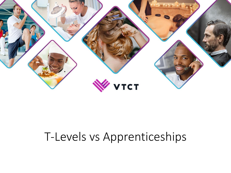

# T-Levels vs Apprenticeships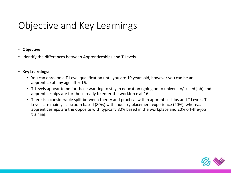# Objective and Key Learnings

### • **Objective:**

• Identify the differences between Apprenticeships and T Levels

### • **Key Learnings:**

- You can enrol on a T-Level qualification until you are 19 years old, however you can be an apprentice at any age after 16.
- T-Levels appear to be for those wanting to stay in education (going on to university/skilled job) and apprenticeships are for those ready to enter the workforce at 16.
- There is a considerable split between theory and practical within apprenticeships and T Levels. T Levels are mainly classroom based (80%) with industry placement experience (20%), whereas apprenticeships are the opposite with typically 80% based in the workplace and 20% off-the-job training.

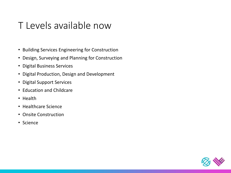### T Levels available now

- Building Services Engineering for Construction
- Design, Surveying and Planning for Construction
- Digital Business Services
- Digital Production, Design and Development
- Digital Support Services
- Education and Childcare
- Health
- Healthcare Science
- Onsite Construction
- Science

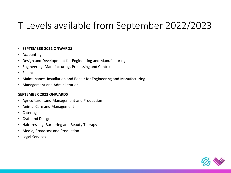# T Levels available from September 2022/2023

### • **SEPTEMBER 2022 ONWARDS**

- Accounting
- Design and Development for Engineering and Manufacturing
- Engineering, Manufacturing, Processing and Control
- Finance
- Maintenance, Installation and Repair for Engineering and Manufacturing
- Management and Administration

#### **SEPTEMBER 2023 ONWARDS**

- Agriculture, Land Management and Production
- Animal Care and Management
- Catering
- Craft and Design
- Hairdressing, Barbering and Beauty Therapy
- Media, Broadcast and Production
- Legal Services

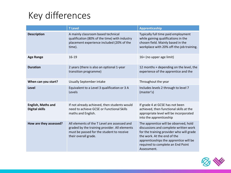# Key differences

|                                                    | <b>T</b> Level                                                                                                                                                     | Apprenticeship                                                                                                                                                                                                                                          |
|----------------------------------------------------|--------------------------------------------------------------------------------------------------------------------------------------------------------------------|---------------------------------------------------------------------------------------------------------------------------------------------------------------------------------------------------------------------------------------------------------|
| <b>Description</b>                                 | A mainly classroom based technical<br>qualification (80% of the time) with industry<br>placement experience included (20% of the<br>time).                         | Typically full time paid employment<br>while gaining qualifications in the<br>chosen field. Mainly based in the<br>workplace with 20% off-the-job training.                                                                                             |
| <b>Age Range</b>                                   | $16 - 19$                                                                                                                                                          | 16+ (no upper age limit)                                                                                                                                                                                                                                |
| <b>Duration</b>                                    | 2 years (there is also an optional 1-year<br>transition programme)                                                                                                 | 12 months + depending on the level, the<br>experience of the apprentice and the                                                                                                                                                                         |
| When can you start?                                | Usually September intake                                                                                                                                           | Throughout the year                                                                                                                                                                                                                                     |
| Level                                              | Equivalent to a Level 3 qualification or 3 A<br>Levels                                                                                                             | Includes levels 2 through to level 7<br>(master's)                                                                                                                                                                                                      |
| <b>English, Maths and</b><br><b>Digital skills</b> | If not already achieved, then students would<br>need to achieve GCSE or Functional Skills<br>maths and English.                                                    | If grade 4 at GCSE has not been<br>achieved, then functional skills at the<br>appropriate level will be incorporated<br>into the apprenticeship                                                                                                         |
| How are they assessed?                             | All elements of the T Level are assessed and<br>graded by the training provider. All elements<br>must be passed for the student to receive<br>their overall grade. | The apprentice will be observed, hold<br>discussions and complete written work<br>for the training provider who will grade<br>the work. At the end of the<br>apprenticeships the apprentice will be<br>required to complete an End Point<br>Assessment. |